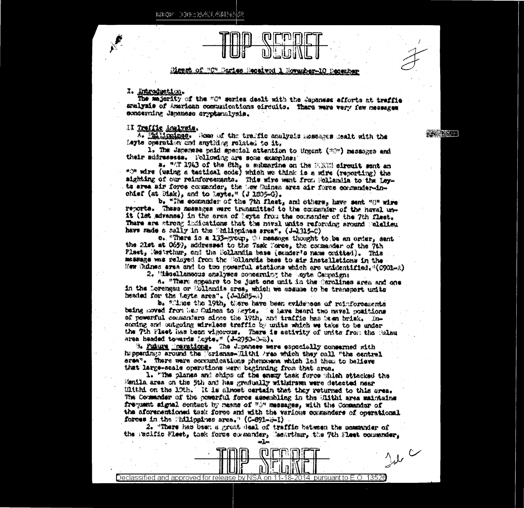ESECE IDD:AAL488552



## Mass of "C" Daries Received 1 Roverber-10 December

## I. Introduction.

The majority of the "G" series dealt with the Japaness afforts at traffic amalysis of American communications oircuits. There were very few messages exprementing Japanese errptsmalysis.

**不要做么啊** 

## II Traffic Analysis.

A. Philippinss. Come of the traffic analysis memoras dealt with the Layte Commention and anything related to it.

1. The Janemese paid special attention to Urgent (200) ressacres and their sudresses. Pollowing are some examples:

a, "A 1943 of the Sth, a mixarine on the FIRT circuit ment an "O" wire (using a testionl code) which we think is a wire (reporting) the sighting of our reinforeements. This sire sant from Sollandia to the Leyts area air force commonder, the how Suinas area air force commendar-inchief (at  $\mathfrak{B}_{4k}$ ), and to Leyte." (J 1005-0).

b. "The community of the 7th flast, and others, have sent "0" wire revorta. These messages were transmitted to the commender of the naval unit (lat advance) in the area of layts from the corrender of the 7th flast. There are strong indications that the naval unite referaing around calcileu have made a sally in the Shillmanes area". (J-1315-C)

o. "There is a 133-group, () measure thought to be an order, sent the 21st at 0659, addressed to the Task Porce, the commander of the 7th Plast, Mearthur, on! the Bollandia base (sonder's name coitted). This message was relayed from the Collendia base to air installations in the Mew Bilines area and to two powerful stations which are unidentified, "(C901-2)

2. Wiesellangous analyses concerning the Layte Campeign:

a. "There appears to be just one unit in the Carolines area and one in the Lorengau or Mollandia area, which we assume to be transport units headed for the Loyte area". (J-1685-A)

b. "Mine the 19th, there have been evidences of reinforcements baing moved from New Cuinca to Seyte. Te have heard two mavel positions of powerful commenters since the 19th, and traffic has been brisk. Incontrg and outgoing wireless traffic by units which we take to be under the 7th Flast has been vigorous. There is activity of units from the Ralau area headed towards Luyte," (J-2950-3-3),

3. Fulure insrations. The Jupanese were exposibilly conserned with happenings around the Vorismas-Mithi Area which they call "the central ersa". There were communications phenomena which led them to believe that large-scale operations were beginning from that area.

1. "The planes and ships of the energ task force which attacked the Senila area on the 5th and has gradually withdrawn were detected near Ulthi on the 19th. It is alsoet certain that they returned to this grea. The Commander of the powerful force assembling in the Hithi area maintains frequent signal contact by masns of "O" messages, with the Commander of the aforerentioned tesk force and with the various commenders of operational forces in the Shillppines area." (C-891-2-1).

2. "There has been a great deal of traffic batmen the communder of the Pacific Wiest, that force covmander, Machthur, the 7th Flest communicr. سأتد